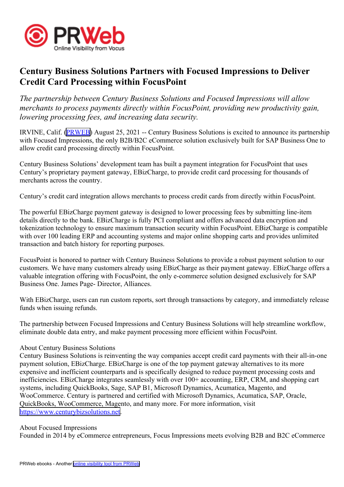

## **Century Business Solutions Partners with Focused Impressions to Deliver Credit Card Processing within FocusPoint**

*The partnership between Century Business Solutions and Focused Impressions will allow merchants to process payments directly within FocusPoint, providing new productivity gain, lowering processing fees, and increasing data security.*

IRVINE, Calif. ([PRWEB](http://www.prweb.com)) August 25, 2021 -- Century Business Solutions is excited to announce its partnership with Focused Impressions, the only B2B/B2C eCommerce solution exclusively built for SAP Business One to allow credit card processing directly within FocusPoint.

Century Business Solutions' development team has built <sup>a</sup> paymen<sup>t</sup> integration for FocusPoint that uses Century's proprietary paymen<sup>t</sup> gateway, EBizCharge, to provide credit card processing for thousands of merchants across the country.

Century's credit card integration allows merchants to process credit cards from directly within FocusPoint.

The powerful EBizCharge paymen<sup>t</sup> gateway is designed to lower processing fees by submitting line-item details directly to the bank. EBizCharge is fully PCI compliant and offers advanced data encryption and tokenization technology to ensure maximum transaction security within FocusPoint. EBizCharge is compatible with over 100 leading ERP and accounting systems and major online shopping carts and provides unlimited transaction and batch history for reporting purposes.

FocusPoint is honored to partner with Century Business Solutions to provide <sup>a</sup> robust paymen<sup>t</sup> solution to our customers. We have many customers already using EBizCharge as their paymen<sup>t</sup> gateway. EBizCharge offers <sup>a</sup> valuable integration offering with FocusPoint, the only e-commerce solution designed exclusively for SAP Business One. James Page- Director, Alliances.

With EBizCharge, users can run custom reports, sort through transactions by category, and immediately release funds when issuing refunds.

The partnership between Focused Impressions and Century Business Solutions will help streamline workflow, eliminate double data entry, and make paymen<sup>t</sup> processing more efficient within FocusPoint.

## About Century Business Solutions

Century Business Solutions is reinventing the way companies accep<sup>t</sup> credit card payments with their all-in-one paymen<sup>t</sup> solution, EBizCharge. EBizCharge is one of the top paymen<sup>t</sup> gateway alternatives to its more expensive and inefficient counterparts and is specifically designed to reduce paymen<sup>t</sup> processing costs and inefficiencies. EBizCharge integrates seamlessly with over 100+ accounting, ERP, CRM, and shopping cart systems, including QuickBooks, Sage, SAP B1, Microsoft Dynamics, Acumatica, Magento, and WooCommerce. Century is partnered and certified with Microsoft Dynamics, Acumatica, SAP, Oracle, QuickBooks, WooCommerce, Magento, and many more. For more information, visit <https://www.centurybizsolutions.net>.

## About Focused Impressions

Founded in 2014 by eCommerce entrepreneurs, Focus Impressions meets evolving B2B and B2C eCommerce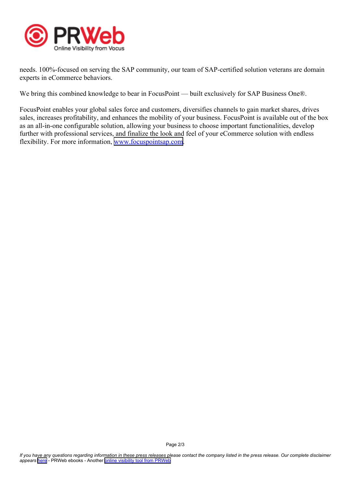

needs. 100%-focused on serving the SAP community, our team of SAP-certified solution veterans are domain experts in eCommerce behaviors.

We bring this combined knowledge to bear in FocusPoint — built exclusively for SAP Business One®.

FocusPoint enables your global sales force and customers, diversifies channels to gain market shares, drives sales, increases profitability, and enhances the mobility of your business. FocusPoint is available out of the box as an all-in-one configurable solution, allowing your business to choose important functionalities, develop further with professional services, and finalize the look and feel of your eCommerce solution with endless flexibility. For more information, [www.focuspointsap.com](http://www.focuspointsap.com).